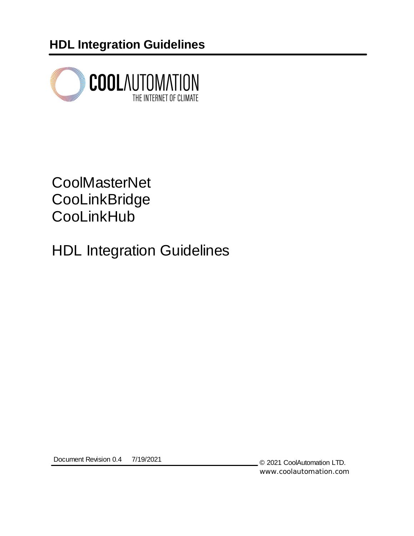**HDL Integration Guidelines**



# **CoolMasterNet CooLinkBridge CooLinkHub**

HDL Integration Guidelines

Document Revision 0.4 7/19/2021

© 2021 CoolAutomation LTD. www.coolautomation.com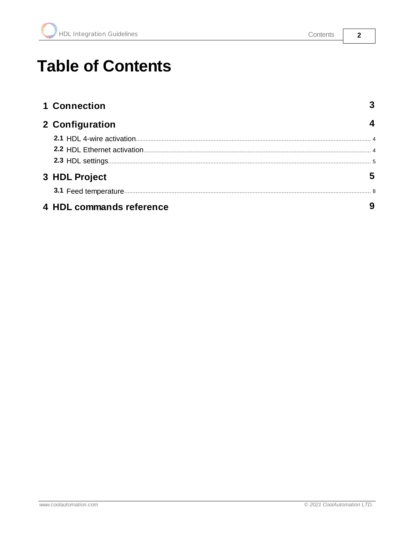www.coolautomation.com

| 1 Connection             |   |
|--------------------------|---|
| 2 Configuration          | 4 |
|                          |   |
|                          |   |
|                          |   |
| 3 HDL Project            | 5 |
|                          |   |
| 4 HDL commands reference | 9 |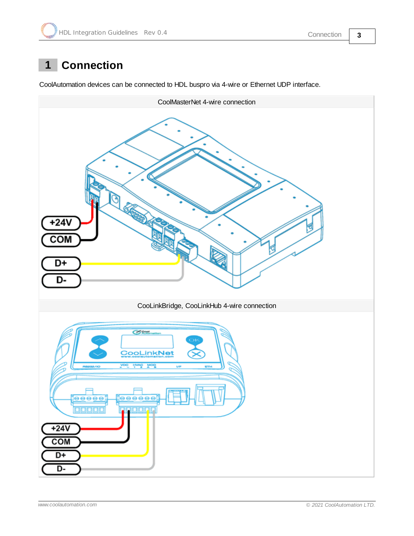# <span id="page-2-0"></span>**1 Connection**

CoolAutomation devices can be connected to HDL buspro via 4-wire or Ethernet UDP interface.

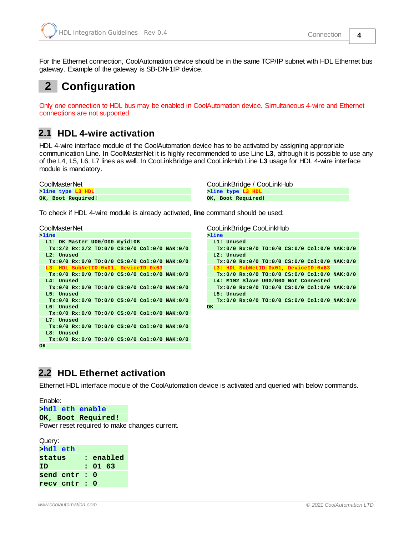gateway. Example of the gateway is SB-DN-1IP device.

For the Ethernet connection, CoolAutomation device should be in the same TCP/IP subnet with HDL Ethernet bus

# <span id="page-3-0"></span>**2 Configuration**

Only one connection to HDL bus may be enabled in CoolAutomation device. Simultaneous 4-wire and Ethernet connections are not supported.

#### <span id="page-3-1"></span>**2.1 HDL 4-wire activation**

HDL 4-wire interface module of the CoolAutomation device has to be activated by assigning appropriate communication Line. In CoolMasterNet it is highly recommended to use Line **L3**, although it is possible to use any of the L4, L5, L6, L7 lines as well. In CooLinkBridge and CooLinkHub Line **L3** usage for HDL 4-wire interface module is mandatory.

**>line type L3 HDL OK, Boot Required!**

CoolMasterNet CooLinkBridge / CooLinkHub **>line type L3 HDL OK, Boot Required!**

To check if HDL 4-wire module is already activated, **line** command should be used:

CoolMasterNet CooLinkBridge CooLinkHub

```
>line
 L1: DK Master U00/G00 myid:0B
  Tx:2/2 Rx:2/2 TO:0/0 CS:0/0 Col:0/0 NAK:0/0
  L2: Unused
  Tx:0/0 Rx:0/0 TO:0/0 CS:0/0 Col:0/0 NAK:0/0
  13: HDL SubNetID:0x01, DeviceID:0x63
  Tx:0/0 Rx:0/0 TO:0/0 CS:0/0 Col:0/0 NAK:0/0
 L4: Unused
  Tx:0/0 Rx:0/0 TO:0/0 CS:0/0 Col:0/0 NAK:0/0
 L5: Unused
  Tx:0/0 Rx:0/0 TO:0/0 CS:0/0 Col:0/0 NAK:0/0
  L6: Unused
  Tx:0/0 Rx:0/0 TO:0/0 CS:0/0 Col:0/0 NAK:0/0
 L7: Unused
  Tx:0/0 Rx:0/0 TO:0/0 CS:0/0 Col:0/0 NAK:0/0
  L8: Unused
   Tx:0/0 Rx:0/0 TO:0/0 CS:0/0 Col:0/0 NAK:0/0
OK
```

|          |            | <b>COOLITINDITUGE COOLITIN IUD</b> |                                               |  |
|----------|------------|------------------------------------|-----------------------------------------------|--|
| $>$ line |            |                                    |                                               |  |
|          | L1: Unused |                                    |                                               |  |
|          |            |                                    | Tx:0/0 Rx:0/0 TO:0/0 CS:0/0 Col:0/0 NAK:0/0   |  |
|          | L2: Unused |                                    |                                               |  |
|          |            |                                    | $Tx:0/0 Rx:0/0 T0:0/0 CS:0/0 Col:0/0 NAK:0/0$ |  |
|          |            |                                    | L3: HDL SubNetID:0x01, DeviceID:0x63          |  |
|          |            |                                    | $Tx:0/0 Rx:0/0 T0:0/0 C5:0/0 Col:0/0 NAK:0/0$ |  |
|          |            |                                    | L4: M1M2 Slave U00/G00 Not Connected          |  |
|          |            |                                    | $Tx:0/0 Rx:0/0 T0:0/0 C5:0/0 Col:0/0 NAK:0/0$ |  |
|          | L5: Unused |                                    |                                               |  |
|          |            |                                    | $Tx:0/0 Rx:0/0 T0:0/0 C5:0/0 Col:0/0 NAK:0/0$ |  |
| OK       |            |                                    |                                               |  |
|          |            |                                    |                                               |  |

#### <span id="page-3-2"></span>**2.2 HDL Ethernet activation**

Ethernet HDL interface module of the CoolAutomation device is activated and queried with below commands.

Enable: **>hdl eth enable OK, Boot Required!** Power reset required to make changes current.

| Query:      |  |          |           |
|-------------|--|----------|-----------|
| >hdl eth    |  |          |           |
| status      |  |          | : enabled |
| ΙD          |  | : 01 63  |           |
| send cntr : |  | $\Omega$ |           |
| recy cntr : |  | Ω        |           |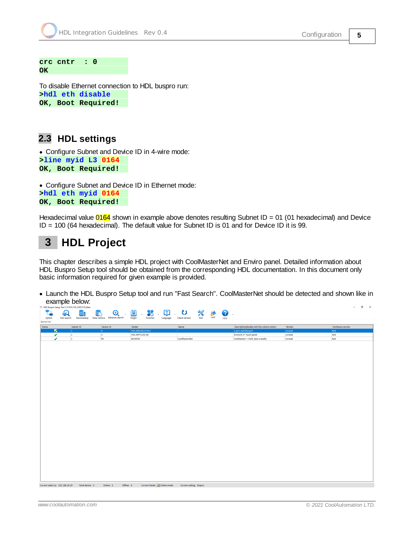**crc cntr : 0 OK**

To disable Ethernet connection to HDL buspro run: **>hdl eth disable OK, Boot Required!**

#### <span id="page-4-0"></span>**2.3 HDL settings**

· Configure Subnet and Device ID in 4-wire mode: **>line myid L3 0164 OK, Boot Required!**

· Configure Subnet and Device ID in Ethernet mode: **>hdl eth myid 0164 OK, Boot Required!**

Hexadecimal value  $0164$  shown in example above denotes resulting Subnet ID = 01 (01 hexadecimal) and Device ID = 100 (64 hexadecimal). The default value for Subnet ID is 01 and for Device ID it is 99.

# <span id="page-4-1"></span>**3 HDL Project**

This chapter describes a simple HDL project with CoolMasterNet and Enviro panel. Detailed information about HDL Buspro Setup tool should be obtained from the corresponding HDL documentation. In this document only basic information required for given example is provided.

· Launch the HDL Buspro Setup tool and run "Fast Search". CoolMasterNet should be detected and shown like in example below: $n \times$ 



Current select ip: 192.168.16.29 Total device: 3 Online: 3 Offline: 0 Current Mode: 0 Online mode Current setting: Buspro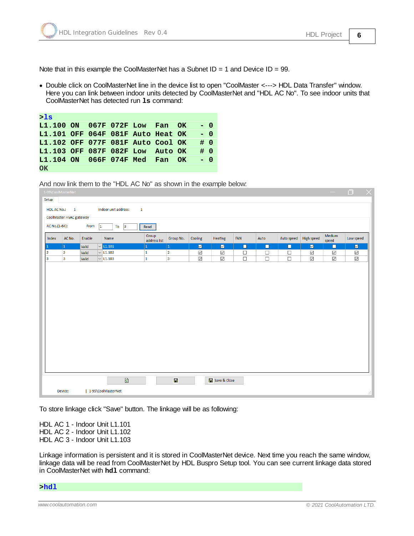Note that in this example the CoolMasterNet has a Subnet  $ID = 1$  and Device  $ID = 99$ .

· Double click on CoolMasterNet line in the device list to open "CoolMaster <---> HDL Data Transfer" window. Here you can link between indoor units detected by CoolMasterNet and "HDL AC No". To see indoor units that CoolMasterNet has detected run **ls** command:

| >1s                               |  |  |  |       |  |
|-----------------------------------|--|--|--|-------|--|
| L1.100 ON 067F 072F Low Fan OK    |  |  |  | $- 0$ |  |
| L1.101 OFF 064F 081F Auto Heat OK |  |  |  | $- 0$ |  |
| L1.102 OFF 077F 081F Auto Cool OK |  |  |  | # 0   |  |
| L1.103 OFF 087F 082F Low Auto OK  |  |  |  | # 0   |  |
| L1.104 ON 066F 074F Med Fan OK    |  |  |  | $- 0$ |  |
| OK                                |  |  |  |       |  |

And now link them to the "HDL AC No" as shown in the example below:

| Index | AC No.<br>$ 1\rangle$<br>$\overline{2}$ | Enable<br>Valid | Name            | Group<br>address list |                |                         |                |        |        |            |                         | Medium              |                         |
|-------|-----------------------------------------|-----------------|-----------------|-----------------------|----------------|-------------------------|----------------|--------|--------|------------|-------------------------|---------------------|-------------------------|
|       |                                         |                 |                 |                       | Group No.      | Cooling                 | Heating        | FAN    | Auto   | Auto speed | <b>High speed</b>       | speed               | Low speed               |
|       |                                         |                 | $\vee$ L1.101   | $\vert$ 1             | $\vert$ 1      | $\overline{\mathbf{v}}$ | $\blacksquare$ | $\Box$ | $\Box$ | $\Box$     | $\overline{\mathbb{M}}$ | ◘                   | $\overline{\mathbf{z}}$ |
|       |                                         | Valid           | $\sqrt{L1.102}$ | $\overline{1}$        | $\overline{2}$ | $\checkmark$            | $\checkmark$   | $\Box$ | $\Box$ | $\Box$     | $\checkmark$            | $\checkmark$        | $\checkmark$            |
|       | $\overline{\mathbf{3}}$                 | Valid           | $\vee$ L1.103   | $\overline{1}$        | $\vert$ 3      | $\overline{\smile}$     | $\checkmark$   | $\Box$ | $\Box$ | $\Box$     | $\color{red}\swarrow$   | $\overline{\smile}$ | $\overline{\smile}$     |
|       |                                         |                 |                 |                       |                |                         |                |        |        |            |                         |                     |                         |

To store linkage click "Save" button. The linkage will be as following:

HDL AC 1 - Indoor Unit L1.101 HDL AC 2 - Indoor Unit L1.102 HDL AC 3 - Indoor Unit L1.103

Linkage information is persistent and it is stored in CoolMasterNet device. Next time you reach the same window, linkage data will be read from CoolMasterNet by HDL Buspro Setup tool. You can see current linkage data stored in CoolMasterNet with **hd1** command:

**>hdl**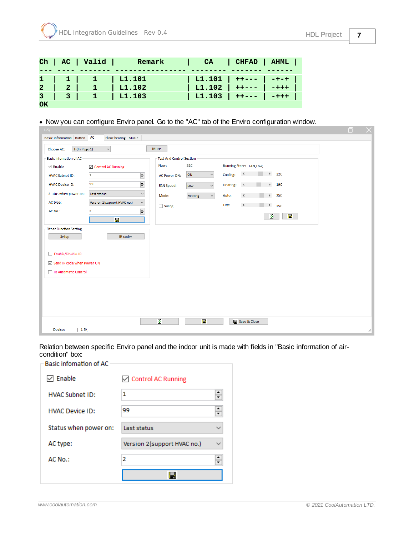|        |                 | Ch   AC   Valid | Remark                       | CA                    | CHFAD   AHML |  |
|--------|-----------------|-----------------|------------------------------|-----------------------|--------------|--|
|        |                 |                 |                              |                       |              |  |
|        |                 |                 | $1 \mid 1 \mid 1 \mid 1.101$ | L1.101   ++---   -+-+ |              |  |
|        | $2 \mid 2 \mid$ |                 | L1.102                       | L1.102   ++---   -+++ |              |  |
|        |                 |                 | 3   1   11.103               | L1.103   ++---   -+++ |              |  |
| $\sim$ |                 |                 |                              |                       |              |  |

**OK**

· Now you can configure Enviro panel. Go to the "AC" tab of the Enviro configuration window.

| $1-5$                                 |                             |                               |                               |                                     | ο<br>$\times$ |
|---------------------------------------|-----------------------------|-------------------------------|-------------------------------|-------------------------------------|---------------|
| Basic information Button AC           | Floor heating Music         |                               |                               |                                     |               |
| $1-(\ln \text{Page-1})$<br>Choose AC: | $\checkmark$                | More                          |                               |                                     |               |
| Basic infomation of AC                |                             | Test And Control Section      |                               |                                     |               |
| $\sqrt{}$ Enable                      | □ Control AC Running        | Now:                          | 32C                           | Running State: FAN, Low,            |               |
| <b>HVAC Subnet ID:</b>                | 1                           | $\div$<br><b>AC Power ON:</b> | ON<br>$\smallsmile$           | 22C<br>$\leq$<br>Cooling:           |               |
| <b>HVAC Device ID:</b>                | 99                          | $\div$<br><b>FAN Speed:</b>   | $\backsim$<br>Low             | $\geq$ 190<br>Heating:<br>$\,$ $\,$ |               |
| Status when power on:                 | Last status                 | $\checkmark$<br>Mode:         | $\check{~}$<br><b>Heating</b> | > 25C<br>Auto:<br>$\,$ $\,$         |               |
| AC type:                              | Version 2(support HVAC no.) | $\backsim$<br>$\Box$ Swing    |                               | Dry:<br>$\,\,<\,$<br>$\geq$ 250     |               |
| AC No.:                               | $\overline{2}$              | $\frac{\bullet}{\bullet}$     |                               | $\bullet$<br>$\blacksquare$         |               |
|                                       | $\overline{\mathbf{B}}$     |                               |                               |                                     |               |
| Other Function Setting                |                             |                               |                               |                                     |               |
| Setup                                 | IR codes                    |                               |                               |                                     |               |
|                                       |                             |                               |                               |                                     |               |
| Enable/Disable IR                     |                             |                               |                               |                                     |               |
| ☑ Send IR code when Power ON          |                             |                               |                               |                                     |               |
| □ IR Automatic Control                |                             |                               |                               |                                     |               |
|                                       |                             |                               |                               |                                     |               |
|                                       |                             |                               |                               |                                     |               |
|                                       |                             |                               |                               |                                     |               |
|                                       |                             |                               |                               |                                     |               |
|                                       |                             | $\bullet$                     | $\mathbf{H}$                  | Save & Close                        |               |
| $1 - 5$<br>Device:                    |                             |                               |                               |                                     | w.            |
|                                       |                             |                               |                               |                                     |               |

Relation between specific Enviro panel and the indoor unit is made with fields in "Basic information of aircondition" box:

| Basic infomation of AC |                             |  |
|------------------------|-----------------------------|--|
| Enable                 | ○ Control AC Running        |  |
| <b>HVAC Subnet ID:</b> | 1                           |  |
| <b>HVAC Device ID:</b> | 99                          |  |
| Status when power on:  | Last status                 |  |
| AC type:               | Version 2(support HVAC no.) |  |
| AC No.:                | 2                           |  |
|                        |                             |  |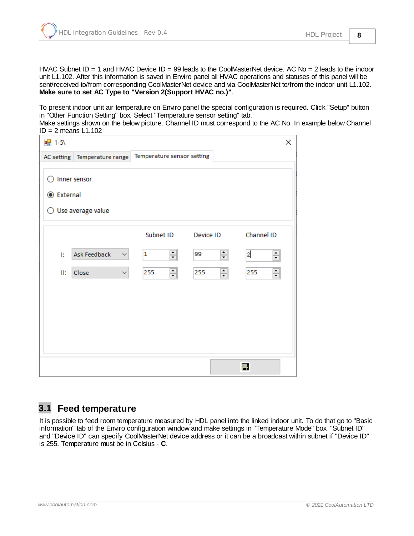HVAC Subnet  $ID = 1$  and HVAC Device  $ID = 99$  leads to the CoolMasterNet device. AC No = 2 leads to the indoor unit L1.102. After this information is saved in Enviro panel all HVAC operations and statuses of this panel will be sent/received to/from corresponding CoolMasterNet device and via CoolMasterNet to/from the indoor unit L1.102. **Make sure to set AC Type to "Version 2(Support HVAC no.)"**.

To present indoor unit air temperature on Enviro panel the special configuration is required. Click "Setup" button in "Other Function Setting" box. Select "Temperature sensor setting" tab.

Make settings shown on the below picture. Channel ID must correspond to the AC No. In example below Channel  $ID = 2$  means  $L1.102$ 

| $\frac{1}{2}$ 1-5\      |                                            |                            |                          | ×                                         |
|-------------------------|--------------------------------------------|----------------------------|--------------------------|-------------------------------------------|
|                         | AC setting Temperature range               | Temperature sensor setting |                          |                                           |
| <b>◎</b> External<br>() | Inner sensor<br>Use average value          |                            |                          |                                           |
|                         |                                            | Subnet ID                  | Device ID                | Channel ID                                |
| Ī.<br>II:               | Ask Feedback<br>$\checkmark$<br>Close<br>∨ | ≑<br>1<br>췌<br>255         | ≑<br>99<br>$\div$<br>255 | $\overline{2}$<br>$\div$<br>$\div$<br>255 |
|                         |                                            |                            |                          | Н                                         |

#### <span id="page-7-0"></span>**3.1 Feed temperature**

It is possible to feed room temperature measured by HDL panel into the linked indoor unit. To do that go to "Basic information" tab of the Enviro configuration window and make settings in "Temperature Mode" box. "Subnet ID" and "Device ID" can specify CoolMasterNet device address or it can be a broadcast within subnet if "Device ID" is 255. Temperature must be in Celsius - **C**.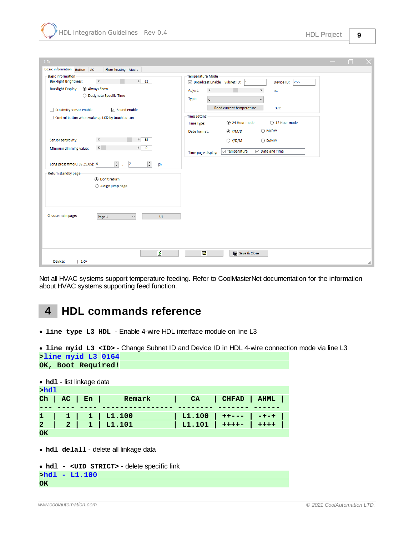| $1-5\$                                                                                                                                    | n                                                                                                                                        |
|-------------------------------------------------------------------------------------------------------------------------------------------|------------------------------------------------------------------------------------------------------------------------------------------|
| <b>Basic information</b> Button<br>AC<br>Floor heating Music                                                                              |                                                                                                                                          |
| <b>Basic information</b><br><b>Backlight Brightness:</b><br>> 62<br>$\,$ $\,$                                                             | <b>Temperature Mode</b><br>Device ID: 255<br>☑ Broadcast Enable Subnet ID: 1                                                             |
| <b>Backlight Display:</b><br>Always Show<br>○ Designate Specific Time                                                                     | Adjust:<br>$\,$ $\,$<br>$\,$<br><b>OC</b><br>Type:<br>$\overline{c}$<br>$\checkmark$                                                     |
| Proximity sensor enable<br>$\nabla$ Sound enable                                                                                          | Read current temperature<br>32C                                                                                                          |
| □ Control button when wake up LCD by touch button                                                                                         | <b>Time Setting</b><br>○ 12 Hour mode<br>24 Hour mode<br>Time Type:                                                                      |
|                                                                                                                                           | $\bigcirc$ M/D/Y<br>$\circledcirc$ Y/M/D<br>Date format:                                                                                 |
| 85<br>Sensor sensitivity:<br>$\,$ $\,$<br>$\rightarrow$<br>$\mathcal{F}$<br>$\langle$<br>$\overline{\mathbf{0}}$<br>Minmum dimming value: | $\bigcirc$ Y/D/M<br>$\bigcirc$ D/M/Y<br>$\sqrt{ }$ Date and Time<br>$\boxed{\smash{\bigtriangledown}}$ Temperature<br>Time page display: |
| $\left \frac{\bullet}{\bullet}\right $<br>$\div$<br>$\overline{7}$<br>Long press time(0.3S-25.0S): 0<br>(S)<br>$\lambda$                  |                                                                                                                                          |
| Return standby page<br>◉ Don't return<br>$\bigcirc$ Assign jump page                                                                      |                                                                                                                                          |
| Choose main page:<br>UI<br>Page-1<br>$\checkmark$                                                                                         |                                                                                                                                          |
| $\bullet$<br>Device:<br>$ 1-5\rangle$                                                                                                     | Н<br>Save & Close<br>лł.                                                                                                                 |

Not all HVAC systems support temperature feeding. Refer to CoolMasterNet documentation for the information about HVAC systems supporting feed function.

### <span id="page-8-0"></span>**4 HDL commands reference**

· **line type L3 HDL** - Enable 4-wire HDL interface module on line L3

· **line myid L3 <ID>** - Change Subnet ID and Device ID in HDL 4-wire connection mode via line L3

```
>line myid L3 0164
OK, Boot Required!
```

|                | • hd1 - list linkage data |  |              |                               |                       |                              |  |  |  |
|----------------|---------------------------|--|--------------|-------------------------------|-----------------------|------------------------------|--|--|--|
| >hd1           |                           |  |              |                               |                       |                              |  |  |  |
|                |                           |  | Ch   AC   En | Remark                        | CA                    | CHFAD   AHML                 |  |  |  |
|                |                           |  |              |                               |                       |                              |  |  |  |
|                |                           |  |              | $1 \mid 1 \mid 1 \mid L1.100$ |                       | $L1.100$ + + - - -   - + - + |  |  |  |
| $\overline{2}$ |                           |  |              | $ 2 1 $ L1.101                | $L1.101$ ++++- + ++++ |                              |  |  |  |
| OK             |                           |  |              |                               |                       |                              |  |  |  |

· **hdl delall** - delete all linkage data

```
· hdl - <UID_STRICT> - delete specific link
>hdl - L1.100
OK
```